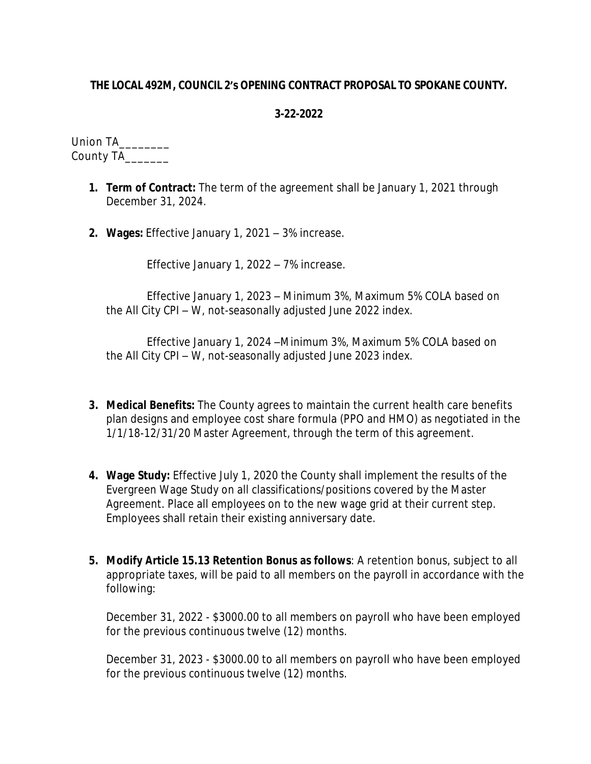## **THE LOCAL 492M, COUNCIL 2's OPENING CONTRACT PROPOSAL TO SPOKANE COUNTY.**

## **3-22-2022**

Union TA\_\_\_\_\_\_\_\_ County TA\_\_\_\_\_\_\_

- **1. Term of Contract:** The term of the agreement shall be January 1, 2021 through December 31, 2024.
- **2. Wages:** Effective January 1, 2021 3% increase.

Effective January 1, 2022 – 7% increase.

Effective January 1, 2023 – Minimum 3%, Maximum 5% COLA based on the All City CPI – W, not-seasonally adjusted June 2022 index.

Effective January 1, 2024 –Minimum 3%, Maximum 5% COLA based on the All City CPI – W, not-seasonally adjusted June 2023 index.

- **3. Medical Benefits:** The County agrees to maintain the current health care benefits plan designs and employee cost share formula (PPO and HMO) as negotiated in the 1/1/18-12/31/20 Master Agreement, through the term of this agreement.
- **4. Wage Study:** Effective July 1, 2020 the County shall implement the results of the Evergreen Wage Study on all classifications/positions covered by the Master Agreement. Place all employees on to the new wage grid at their current step. Employees shall retain their existing anniversary date.
- **5. Modify Article 15.13 Retention Bonus as follows**: A retention bonus, subject to all appropriate taxes, will be paid to all members on the payroll in accordance with the following:

December 31, 2022 - \$3000.00 to all members on payroll who have been employed for the previous continuous twelve (12) months.

December 31, 2023 - \$3000.00 to all members on payroll who have been employed for the previous continuous twelve (12) months.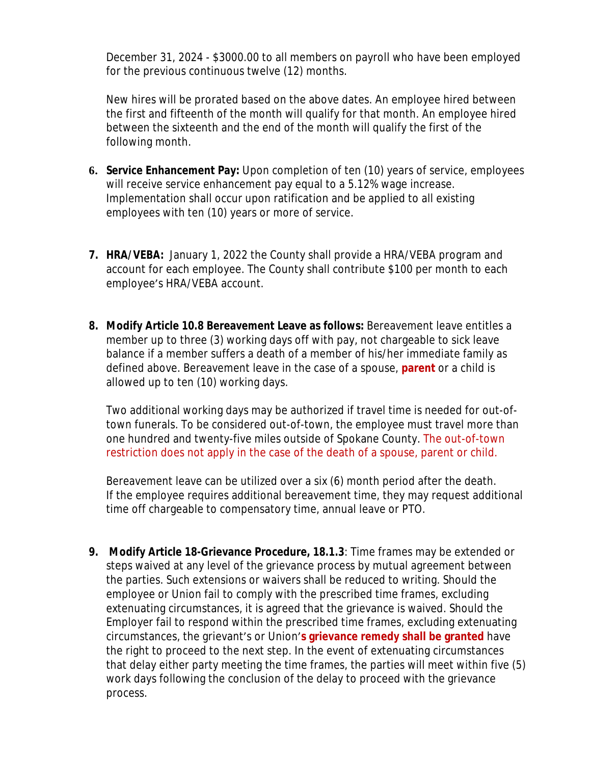December 31, 2024 - \$3000.00 to all members on payroll who have been employed for the previous continuous twelve (12) months.

New hires will be prorated based on the above dates. An employee hired between the first and fifteenth of the month will qualify for that month. An employee hired between the sixteenth and the end of the month will qualify the first of the following month.

- **6. Service Enhancement Pay:** Upon completion of ten (10) years of service, employees will receive service enhancement pay equal to a 5.12% wage increase. Implementation shall occur upon ratification and be applied to all existing employees with ten (10) years or more of service.
- **7. HRA/VEBA:** January 1, 2022 the County shall provide a HRA/VEBA program and account for each employee. The County shall contribute \$100 per month to each employee's HRA/VEBA account.
- **8. Modify Article 10.8 Bereavement Leave as follows:** Bereavement leave entitles a member up to three (3) working days off with pay, not chargeable to sick leave balance if a member suffers a death of a member of his/her immediate family as defined above. Bereavement leave in the case of a spouse, **parent** or a child is allowed up to ten (10) working days.

Two additional working days may be authorized if travel time is needed for out-oftown funerals. To be considered out-of-town, the employee must travel more than one hundred and twenty-five miles outside of Spokane County. The out-of-town restriction does not apply in the case of the death of a spouse, parent or child.

Bereavement leave can be utilized over a six (6) month period after the death. If the employee requires additional bereavement time, they may request additional time off chargeable to compensatory time, annual leave or PTO.

**9. Modify Article 18-Grievance Procedure, 18.1.3**: Time frames may be extended or steps waived at any level of the grievance process by mutual agreement between the parties. Such extensions or waivers shall be reduced to writing. Should the employee or Union fail to comply with the prescribed time frames, excluding extenuating circumstances, it is agreed that the grievance is waived. Should the Employer fail to respond within the prescribed time frames, excluding extenuating circumstances, the grievant's or Union'**s grievance remedy shall be granted** have the right to proceed to the next step. In the event of extenuating circumstances that delay either party meeting the time frames, the parties will meet within five (5) work days following the conclusion of the delay to proceed with the grievance process.